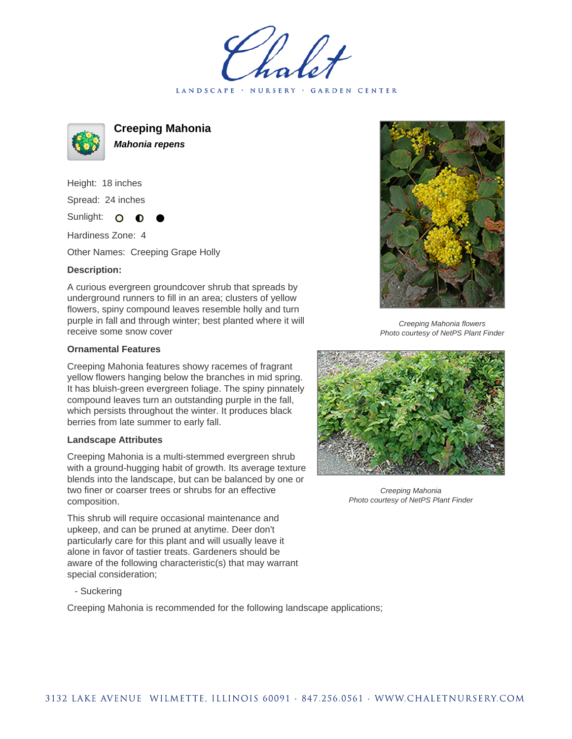LANDSCAPE · NURSERY · GARDEN CENTER



**Creeping Mahonia Mahonia repens**

Height: 18 inches Spread: 24 inches

Sunlight: O ∩

Hardiness Zone: 4

Other Names: Creeping Grape Holly

## **Description:**

A curious evergreen groundcover shrub that spreads by underground runners to fill in an area; clusters of yellow flowers, spiny compound leaves resemble holly and turn purple in fall and through winter; best planted where it will receive some snow cover

## **Ornamental Features**

Creeping Mahonia features showy racemes of fragrant yellow flowers hanging below the branches in mid spring. It has bluish-green evergreen foliage. The spiny pinnately compound leaves turn an outstanding purple in the fall, which persists throughout the winter. It produces black berries from late summer to early fall.

## **Landscape Attributes**

Creeping Mahonia is a multi-stemmed evergreen shrub with a ground-hugging habit of growth. Its average texture blends into the landscape, but can be balanced by one or two finer or coarser trees or shrubs for an effective composition.

This shrub will require occasional maintenance and upkeep, and can be pruned at anytime. Deer don't particularly care for this plant and will usually leave it alone in favor of tastier treats. Gardeners should be aware of the following characteristic(s) that may warrant special consideration;

- Suckering

Creeping Mahonia is recommended for the following landscape applications;



Creeping Mahonia flowers Photo courtesy of NetPS Plant Finder



Creeping Mahonia Photo courtesy of NetPS Plant Finder